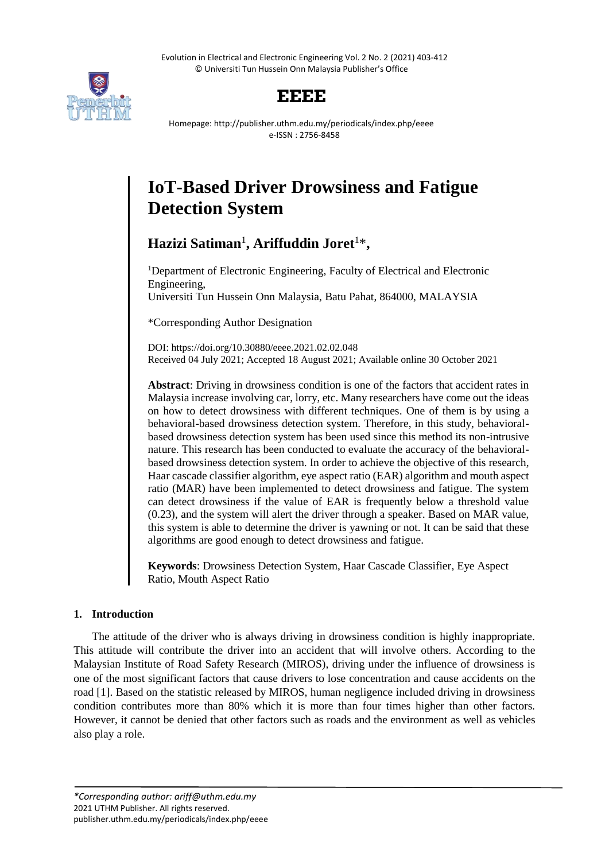Evolution in Electrical and Electronic Engineering Vol. 2 No. 2 (2021) 403-412 © Universiti Tun Hussein Onn Malaysia Publisher's Office



# **EEEE**

Homepage: http://publisher.uthm.edu.my/periodicals/index.php/eeee e-ISSN : 2756-8458

# **IoT-Based Driver Drowsiness and Fatigue Detection System**

Hazizi Satiman<sup>1</sup>, Ariffuddin Joret<sup>1\*</sup>,

<sup>1</sup>Department of Electronic Engineering, Faculty of Electrical and Electronic Engineering, Universiti Tun Hussein Onn Malaysia, Batu Pahat, 864000, MALAYSIA

\*Corresponding Author Designation

DOI: https://doi.org/10.30880/eeee.2021.02.02.048 Received 04 July 2021; Accepted 18 August 2021; Available online 30 October 2021

**Abstract**: Driving in drowsiness condition is one of the factors that accident rates in Malaysia increase involving car, lorry, etc. Many researchers have come out the ideas on how to detect drowsiness with different techniques. One of them is by using a behavioral-based drowsiness detection system. Therefore, in this study, behavioralbased drowsiness detection system has been used since this method its non-intrusive nature. This research has been conducted to evaluate the accuracy of the behavioralbased drowsiness detection system. In order to achieve the objective of this research, Haar cascade classifier algorithm, eye aspect ratio (EAR) algorithm and mouth aspect ratio (MAR) have been implemented to detect drowsiness and fatigue. The system can detect drowsiness if the value of EAR is frequently below a threshold value (0.23), and the system will alert the driver through a speaker. Based on MAR value, this system is able to determine the driver is yawning or not. It can be said that these algorithms are good enough to detect drowsiness and fatigue.

**Keywords**: Drowsiness Detection System, Haar Cascade Classifier, Eye Aspect Ratio, Mouth Aspect Ratio

# **1. Introduction**

The attitude of the driver who is always driving in drowsiness condition is highly inappropriate. This attitude will contribute the driver into an accident that will involve others. According to the Malaysian Institute of Road Safety Research (MIROS), driving under the influence of drowsiness is one of the most significant factors that cause drivers to lose concentration and cause accidents on the road [1]. Based on the statistic released by MIROS, human negligence included driving in drowsiness condition contributes more than 80% which it is more than four times higher than other factors. However, it cannot be denied that other factors such as roads and the environment as well as vehicles also play a role.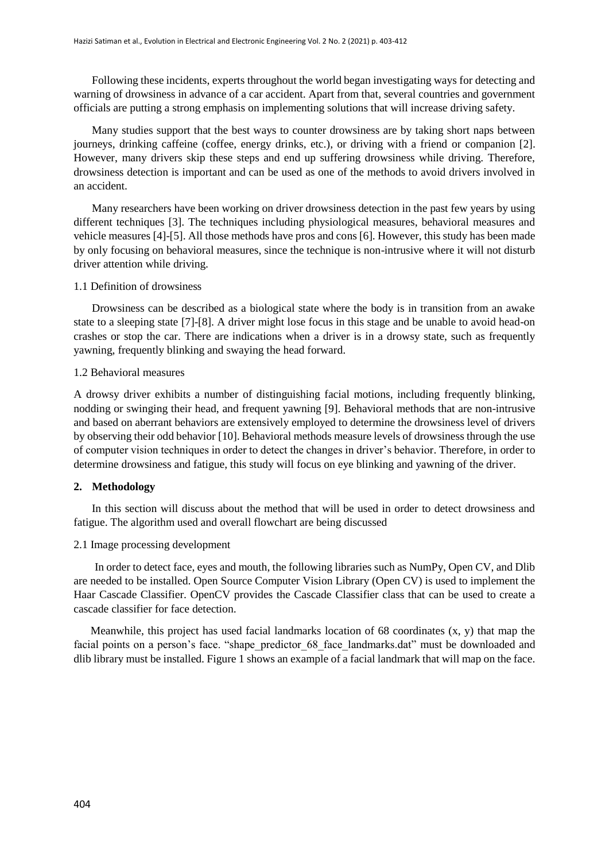Following these incidents, experts throughout the world began investigating ways for detecting and warning of drowsiness in advance of a car accident. Apart from that, several countries and government officials are putting a strong emphasis on implementing solutions that will increase driving safety.

Many studies support that the best ways to counter drowsiness are by taking short naps between journeys, drinking caffeine (coffee, energy drinks, etc.), or driving with a friend or companion [2]. However, many drivers skip these steps and end up suffering drowsiness while driving. Therefore, drowsiness detection is important and can be used as one of the methods to avoid drivers involved in an accident.

Many researchers have been working on driver drowsiness detection in the past few years by using different techniques [3]. The techniques including physiological measures, behavioral measures and vehicle measures [4]-[5]. All those methods have pros and cons [6]. However, this study has been made by only focusing on behavioral measures, since the technique is non-intrusive where it will not disturb driver attention while driving.

# 1.1 Definition of drowsiness

Drowsiness can be described as a biological state where the body is in transition from an awake state to a sleeping state [7]-[8]. A driver might lose focus in this stage and be unable to avoid head-on crashes or stop the car. There are indications when a driver is in a drowsy state, such as frequently yawning, frequently blinking and swaying the head forward.

#### 1.2 Behavioral measures

A drowsy driver exhibits a number of distinguishing facial motions, including frequently blinking, nodding or swinging their head, and frequent yawning [9]. Behavioral methods that are non-intrusive and based on aberrant behaviors are extensively employed to determine the drowsiness level of drivers by observing their odd behavior [10]. Behavioral methods measure levels of drowsiness through the use of computer vision techniques in order to detect the changes in driver's behavior. Therefore, in order to determine drowsiness and fatigue, this study will focus on eye blinking and yawning of the driver.

## **2. Methodology**

In this section will discuss about the method that will be used in order to detect drowsiness and fatigue. The algorithm used and overall flowchart are being discussed

## 2.1 Image processing development

In order to detect face, eyes and mouth, the following libraries such as NumPy, Open CV, and Dlib are needed to be installed. Open Source Computer Vision Library (Open CV) is used to implement the Haar Cascade Classifier. OpenCV provides the Cascade Classifier class that can be used to create a cascade classifier for face detection.

 Meanwhile, this project has used facial landmarks location of 68 coordinates (x, y) that map the facial points on a person's face. "shape predictor 68 face landmarks.dat" must be downloaded and dlib library must be installed. Figure 1 shows an example of a facial landmark that will map on the face.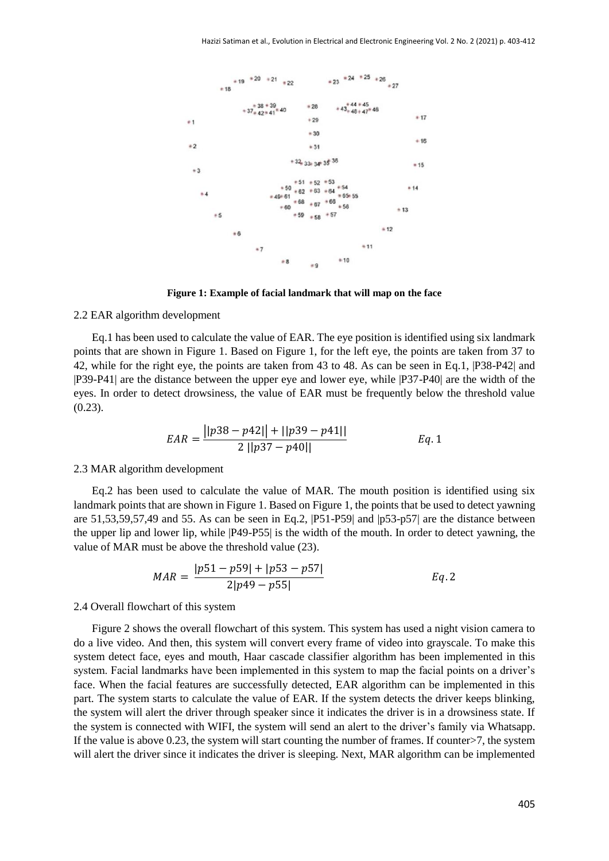

**Figure 1: Example of facial landmark that will map on the face**

#### 2.2 EAR algorithm development

Eq.1 has been used to calculate the value of EAR. The eye position is identified using six landmark points that are shown in Figure 1. Based on Figure 1, for the left eye, the points are taken from 37 to 42, while for the right eye, the points are taken from 43 to 48. As can be seen in Eq.1, |P38-P42| and |P39-P41| are the distance between the upper eye and lower eye, while |P37-P40| are the width of the eyes. In order to detect drowsiness, the value of EAR must be frequently below the threshold value (0.23).

$$
EAR = \frac{||p38 - p42|| + ||p39 - p41||}{2||p37 - p40||} \qquad Eq. 1
$$

#### 2.3 MAR algorithm development

Eq.2 has been used to calculate the value of MAR. The mouth position is identified using six landmark points that are shown in Figure 1. Based on Figure 1, the points that be used to detect yawning are 51,53,59,57,49 and 55. As can be seen in Eq.2, |P51-P59| and |p53-p57| are the distance between the upper lip and lower lip, while |P49-P55| is the width of the mouth. In order to detect yawning, the value of MAR must be above the threshold value (23).

$$
MAR = \frac{|p51 - p59| + |p53 - p57|}{2|p49 - p55|}
$$
 Eq. 2

#### 2.4 Overall flowchart of this system

Figure 2 shows the overall flowchart of this system. This system has used a night vision camera to do a live video. And then, this system will convert every frame of video into grayscale. To make this system detect face, eyes and mouth, Haar cascade classifier algorithm has been implemented in this system. Facial landmarks have been implemented in this system to map the facial points on a driver's face. When the facial features are successfully detected, EAR algorithm can be implemented in this part. The system starts to calculate the value of EAR. If the system detects the driver keeps blinking, the system will alert the driver through speaker since it indicates the driver is in a drowsiness state. If the system is connected with WIFI, the system will send an alert to the driver's family via Whatsapp. If the value is above 0.23, the system will start counting the number of frames. If counter>7, the system will alert the driver since it indicates the driver is sleeping. Next, MAR algorithm can be implemented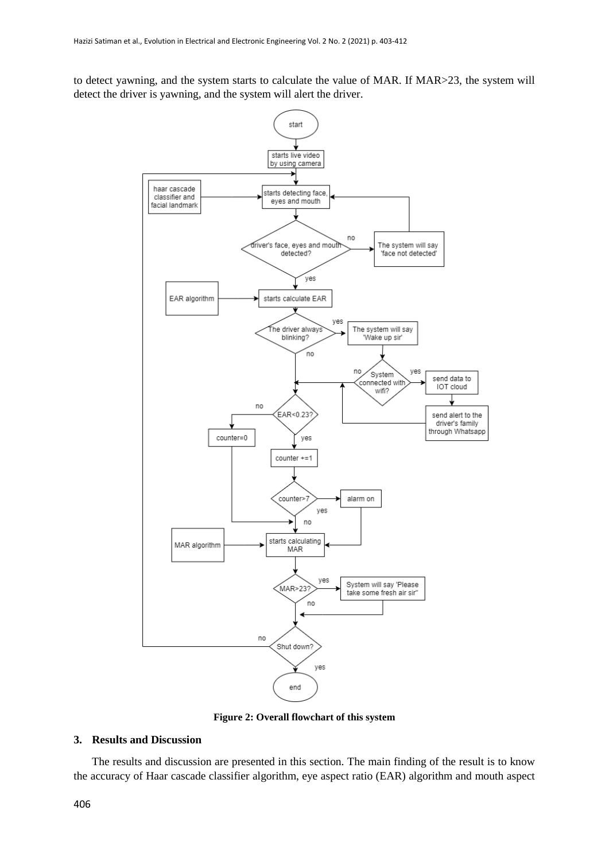to detect yawning, and the system starts to calculate the value of MAR. If MAR>23, the system will detect the driver is yawning, and the system will alert the driver.



**Figure 2: Overall flowchart of this system**

# **3. Results and Discussion**

The results and discussion are presented in this section. The main finding of the result is to know the accuracy of Haar cascade classifier algorithm, eye aspect ratio (EAR) algorithm and mouth aspect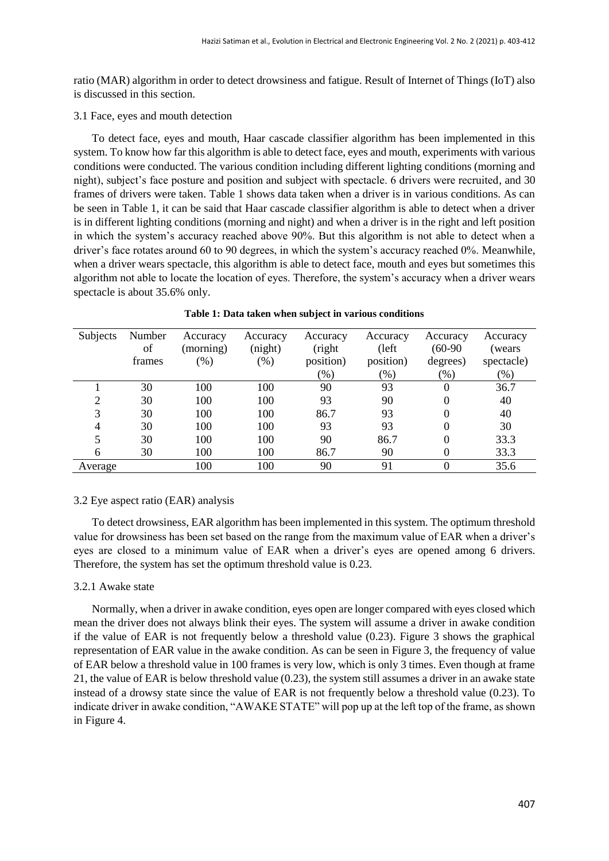ratio (MAR) algorithm in order to detect drowsiness and fatigue. Result of Internet of Things (IoT) also is discussed in this section.

3.1 Face, eyes and mouth detection

To detect face, eyes and mouth, Haar cascade classifier algorithm has been implemented in this system. To know how far this algorithm is able to detect face, eyes and mouth, experiments with various conditions were conducted. The various condition including different lighting conditions (morning and night), subject's face posture and position and subject with spectacle. 6 drivers were recruited, and 30 frames of drivers were taken. Table 1 shows data taken when a driver is in various conditions. As can be seen in Table 1, it can be said that Haar cascade classifier algorithm is able to detect when a driver is in different lighting conditions (morning and night) and when a driver is in the right and left position in which the system's accuracy reached above 90%. But this algorithm is not able to detect when a driver's face rotates around 60 to 90 degrees, in which the system's accuracy reached 0%. Meanwhile, when a driver wears spectacle, this algorithm is able to detect face, mouth and eyes but sometimes this algorithm not able to locate the location of eyes. Therefore, the system's accuracy when a driver wears spectacle is about 35.6% only.

| Subjects | Number | Accuracy  | Accuracy | Accuracy  | Accuracy        | Accuracy  | Accuracy   |
|----------|--------|-----------|----------|-----------|-----------------|-----------|------------|
|          | of     | (morning) | (night)  | (right    | $(\text{left})$ | $(60-90)$ | (wears     |
|          | frames | $(\% )$   | (% )     | position) | position)       | degrees)  | spectacle) |
|          |        |           |          | $(\%)$    | $(\%)$          | $(\%)$    | $(\% )$    |
|          | 30     | 100       | 100      | 90        | 93              | 0         | 36.7       |
| ◠        | 30     | 100       | 100      | 93        | 90              | 0         | 40         |
| 3        | 30     | 100       | 100      | 86.7      | 93              | 0         | 40         |
|          | 30     | 100       | 100      | 93        | 93              | 0         | 30         |
|          | 30     | 100       | 100      | 90        | 86.7            | 0         | 33.3       |
| 6        | 30     | 100       | 100      | 86.7      | 90              |           | 33.3       |
| Average  |        | 100       | 100      | 90        | 91              | 0         | 35.6       |

|  |  |  |  |  |  | Table 1: Data taken when subject in various conditions |
|--|--|--|--|--|--|--------------------------------------------------------|
|--|--|--|--|--|--|--------------------------------------------------------|

## 3.2 Eye aspect ratio (EAR) analysis

To detect drowsiness, EAR algorithm has been implemented in this system. The optimum threshold value for drowsiness has been set based on the range from the maximum value of EAR when a driver's eyes are closed to a minimum value of EAR when a driver's eyes are opened among 6 drivers. Therefore, the system has set the optimum threshold value is 0.23.

## 3.2.1 Awake state

Normally, when a driver in awake condition, eyes open are longer compared with eyes closed which mean the driver does not always blink their eyes. The system will assume a driver in awake condition if the value of EAR is not frequently below a threshold value (0.23). Figure 3 shows the graphical representation of EAR value in the awake condition. As can be seen in Figure 3, the frequency of value of EAR below a threshold value in 100 frames is very low, which is only 3 times. Even though at frame 21, the value of EAR is below threshold value (0.23), the system still assumes a driver in an awake state instead of a drowsy state since the value of EAR is not frequently below a threshold value (0.23). To indicate driver in awake condition, "AWAKE STATE" will pop up at the left top of the frame, as shown in Figure 4.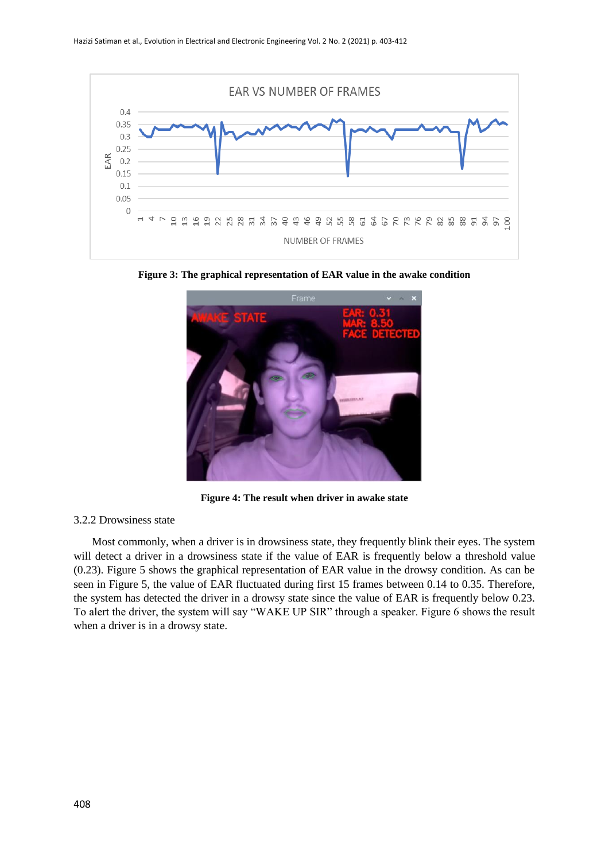

**Figure 3: The graphical representation of EAR value in the awake condition**



**Figure 4: The result when driver in awake state**

# 3.2.2 Drowsiness state

Most commonly, when a driver is in drowsiness state, they frequently blink their eyes. The system will detect a driver in a drowsiness state if the value of EAR is frequently below a threshold value (0.23). Figure 5 shows the graphical representation of EAR value in the drowsy condition. As can be seen in Figure 5, the value of EAR fluctuated during first 15 frames between 0.14 to 0.35. Therefore, the system has detected the driver in a drowsy state since the value of EAR is frequently below 0.23. To alert the driver, the system will say "WAKE UP SIR" through a speaker. Figure 6 shows the result when a driver is in a drowsy state.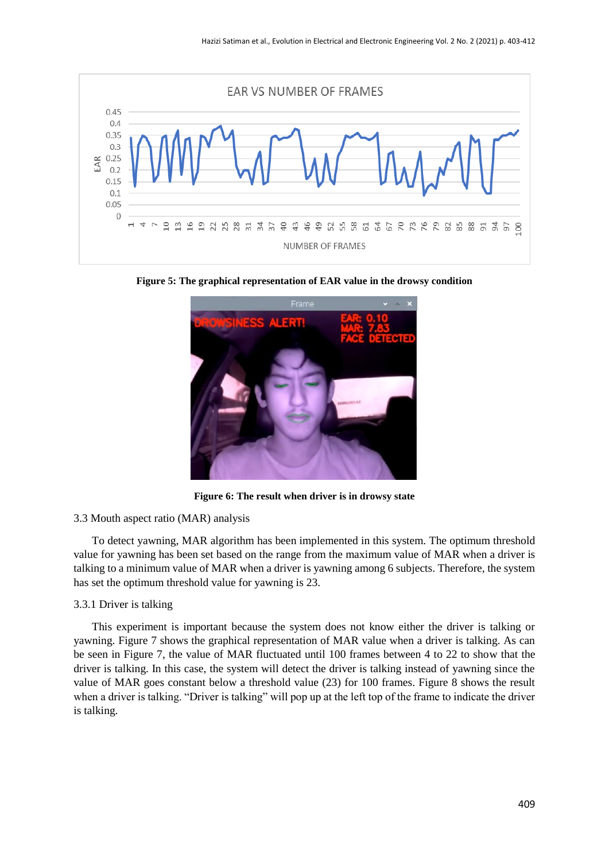

**Figure 5: The graphical representation of EAR value in the drowsy condition**



**Figure 6: The result when driver is in drowsy state**

## 3.3 Mouth aspect ratio (MAR) analysis

To detect yawning, MAR algorithm has been implemented in this system. The optimum threshold value for yawning has been set based on the range from the maximum value of MAR when a driver is talking to a minimum value of MAR when a driver is yawning among 6 subjects. Therefore, the system has set the optimum threshold value for yawning is 23.

#### 3.3.1 Driver is talking

This experiment is important because the system does not know either the driver is talking or yawning. Figure 7 shows the graphical representation of MAR value when a driver is talking. As can be seen in Figure 7, the value of MAR fluctuated until 100 frames between 4 to 22 to show that the driver is talking. In this case, the system will detect the driver is talking instead of yawning since the value of MAR goes constant below a threshold value (23) for 100 frames. Figure 8 shows the result when a driver is talking. "Driver is talking" will pop up at the left top of the frame to indicate the driver is talking.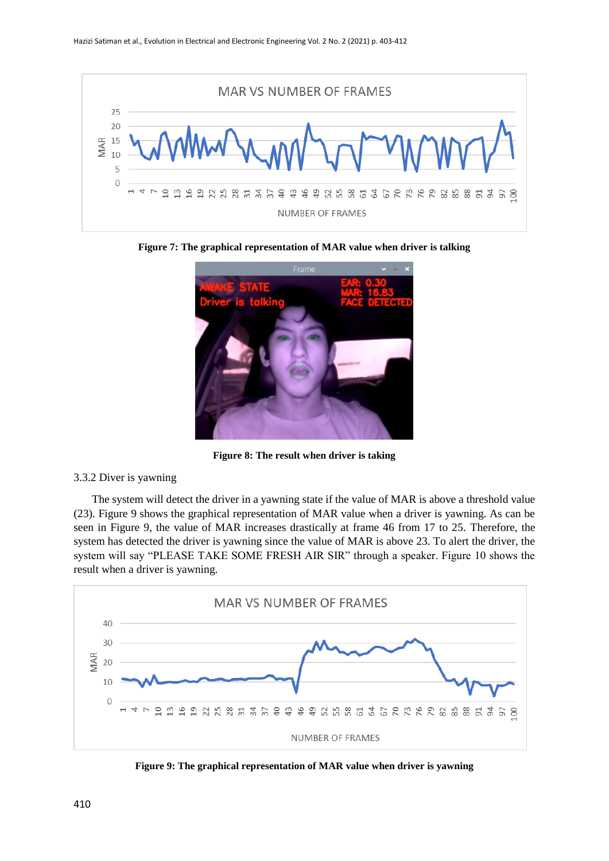

**Figure 7: The graphical representation of MAR value when driver is talking**



**Figure 8: The result when driver is taking**

# 3.3.2 Diver is yawning

The system will detect the driver in a yawning state if the value of MAR is above a threshold value (23). Figure 9 shows the graphical representation of MAR value when a driver is yawning. As can be seen in Figure 9, the value of MAR increases drastically at frame 46 from 17 to 25. Therefore, the system has detected the driver is yawning since the value of MAR is above 23. To alert the driver, the system will say "PLEASE TAKE SOME FRESH AIR SIR" through a speaker. Figure 10 shows the result when a driver is yawning.



**Figure 9: The graphical representation of MAR value when driver is yawning**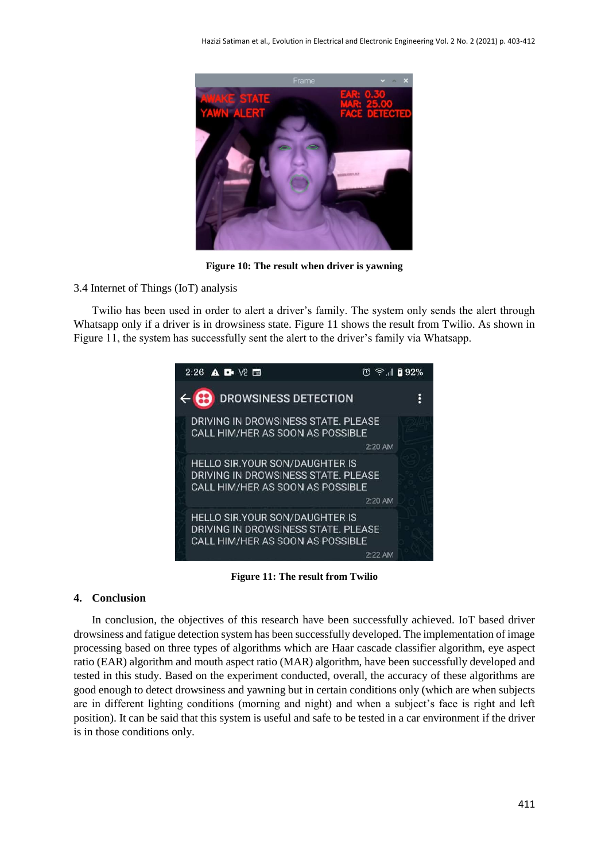

**Figure 10: The result when driver is yawning**

3.4 Internet of Things (IoT) analysis

Twilio has been used in order to alert a driver's family. The system only sends the alert through Whatsapp only if a driver is in drowsiness state. Figure 11 shows the result from Twilio. As shown in Figure 11, the system has successfully sent the alert to the driver's family via Whatsapp.



**Figure 11: The result from Twilio**

# **4. Conclusion**

In conclusion, the objectives of this research have been successfully achieved. IoT based driver drowsiness and fatigue detection system has been successfully developed. The implementation of image processing based on three types of algorithms which are Haar cascade classifier algorithm, eye aspect ratio (EAR) algorithm and mouth aspect ratio (MAR) algorithm, have been successfully developed and tested in this study. Based on the experiment conducted, overall, the accuracy of these algorithms are good enough to detect drowsiness and yawning but in certain conditions only (which are when subjects are in different lighting conditions (morning and night) and when a subject's face is right and left position). It can be said that this system is useful and safe to be tested in a car environment if the driver is in those conditions only.